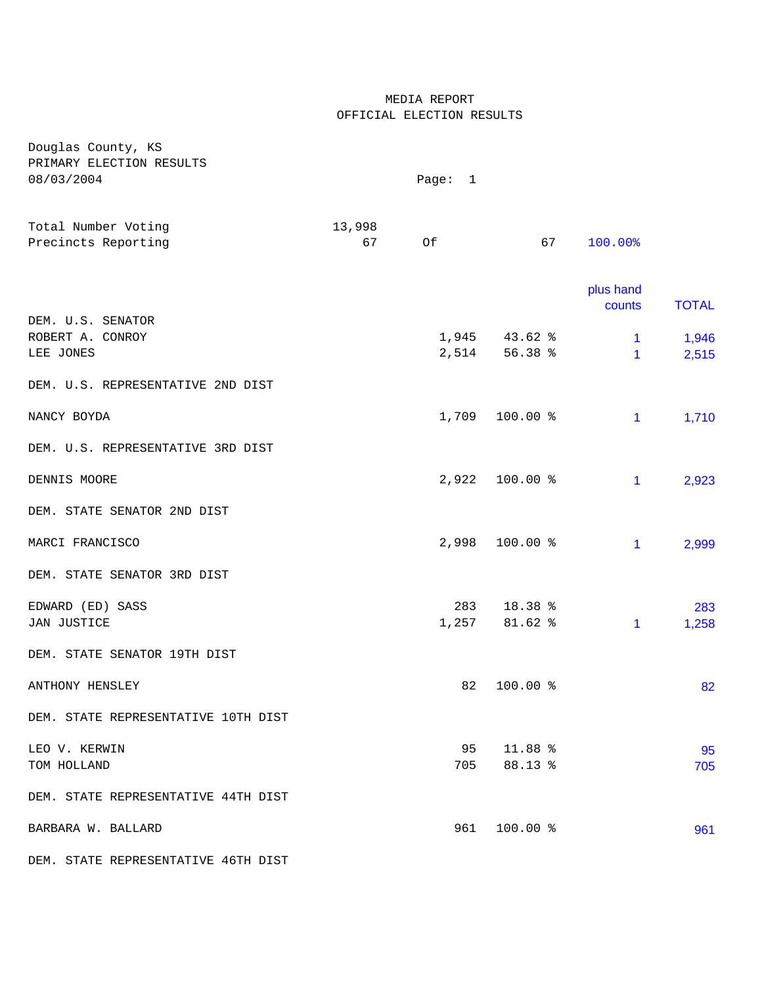## MEDIA REPORT OFFICIAL ELECTION RESULTS

| Douglas County, KS                     |        |         |                   |                     |              |
|----------------------------------------|--------|---------|-------------------|---------------------|--------------|
| PRIMARY ELECTION RESULTS<br>08/03/2004 |        | Page: 1 |                   |                     |              |
|                                        |        |         |                   |                     |              |
| Total Number Voting                    | 13,998 |         |                   |                     |              |
| Precincts Reporting                    | 67     | Of      | 67                | 100.00%             |              |
|                                        |        |         |                   |                     |              |
|                                        |        |         |                   | plus hand<br>counts | <b>TOTAL</b> |
| DEM. U.S. SENATOR                      |        |         |                   |                     |              |
| ROBERT A. CONROY                       |        |         | $1,945$ $43.62$ % | $\mathbf{1}$        | 1,946        |
| LEE JONES                              |        |         | 2,514 56.38 %     | 1                   | 2,515        |
| DEM. U.S. REPRESENTATIVE 2ND DIST      |        |         |                   |                     |              |
| NANCY BOYDA                            |        | 1,709   | 100.00 %          | 1                   | 1,710        |
| DEM. U.S. REPRESENTATIVE 3RD DIST      |        |         |                   |                     |              |
|                                        |        |         |                   |                     |              |
| DENNIS MOORE                           |        | 2,922   | 100.00 %          | 1                   | 2,923        |
| DEM. STATE SENATOR 2ND DIST            |        |         |                   |                     |              |
| MARCI FRANCISCO                        |        | 2,998   | 100.00 %          | 1                   | 2,999        |
| DEM. STATE SENATOR 3RD DIST            |        |         |                   |                     |              |
| EDWARD (ED) SASS                       |        | 283     | 18.38 %           |                     | 283          |
| JAN JUSTICE                            |        |         | 1,257 81.62 %     | $\mathbf{1}$        | 1,258        |
| DEM. STATE SENATOR 19TH DIST           |        |         |                   |                     |              |
| ANTHONY HENSLEY                        |        | 82      | 100.00 %          |                     | 82           |
| DEM. STATE REPRESENTATIVE 10TH DIST    |        |         |                   |                     |              |
|                                        |        |         |                   |                     |              |
| LEO V. KERWIN                          |        | 95      | 11.88 %           |                     | 95           |
| TOM HOLLAND                            |        | 705     | 88.13 %           |                     | 705          |
| DEM. STATE REPRESENTATIVE 44TH DIST    |        |         |                   |                     |              |
| BARBARA W. BALLARD                     |        | 961     | $100.00$ %        |                     | 961          |
|                                        |        |         |                   |                     |              |

DEM. STATE REPRESENTATIVE 46TH DIST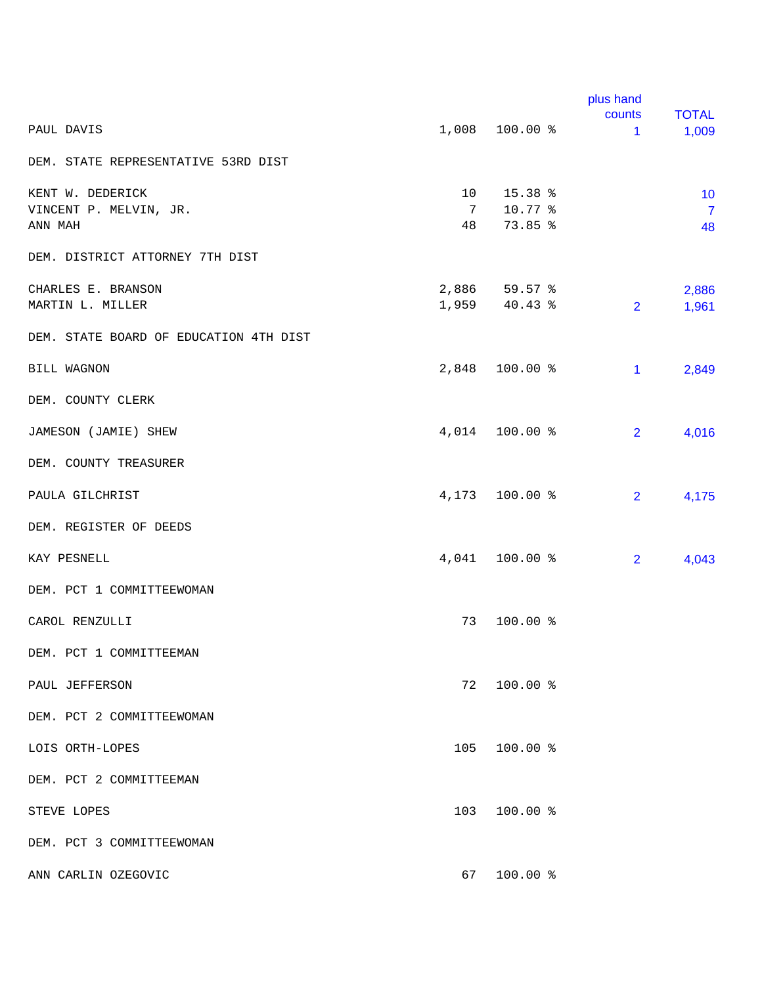|                                        |     |                | plus hand              |                       |
|----------------------------------------|-----|----------------|------------------------|-----------------------|
| PAUL DAVIS                             |     | 1,008 100.00 % | counts<br>$\mathbf{1}$ | <b>TOTAL</b><br>1,009 |
| DEM. STATE REPRESENTATIVE 53RD DIST    |     |                |                        |                       |
| KENT W. DEDERICK                       | 10  | $15.38$ %      |                        | 10                    |
| VINCENT P. MELVIN, JR.                 | 7   | 10.77 %        |                        | $\overline{7}$        |
| ANN MAH                                | 48  | 73.85 %        |                        | 48                    |
| DEM. DISTRICT ATTORNEY 7TH DIST        |     |                |                        |                       |
| CHARLES E. BRANSON                     |     | 2,886 59.57 %  |                        | 2,886                 |
| MARTIN L. MILLER                       |     | 1,959 40.43 %  | $\overline{2}$         | 1,961                 |
| DEM. STATE BOARD OF EDUCATION 4TH DIST |     |                |                        |                       |
| <b>BILL WAGNON</b>                     |     | 2,848 100.00 % | $\mathbf{1}$           | 2,849                 |
| DEM. COUNTY CLERK                      |     |                |                        |                       |
| JAMESON (JAMIE) SHEW                   |     | 4,014 100.00 % | $\overline{2}$         | 4,016                 |
| DEM. COUNTY TREASURER                  |     |                |                        |                       |
| PAULA GILCHRIST                        |     | 4,173 100.00 % | $\overline{2}$         | 4,175                 |
| DEM. REGISTER OF DEEDS                 |     |                |                        |                       |
| KAY PESNELL                            |     | 4,041 100.00 % | $\overline{2}$         | 4,043                 |
| DEM. PCT 1 COMMITTEEWOMAN              |     |                |                        |                       |
| CAROL RENZULLI                         | 73  | 100.00 %       |                        |                       |
| DEM. PCT 1 COMMITTEEMAN                |     |                |                        |                       |
| PAUL JEFFERSON                         | 72  | 100.00 %       |                        |                       |
| DEM. PCT 2 COMMITTEEWOMAN              |     |                |                        |                       |
| LOIS ORTH-LOPES                        | 105 | $100.00$ %     |                        |                       |
| DEM. PCT 2 COMMITTEEMAN                |     |                |                        |                       |
| STEVE LOPES                            | 103 | 100.00 %       |                        |                       |
| DEM. PCT 3 COMMITTEEWOMAN              |     |                |                        |                       |
| ANN CARLIN OZEGOVIC                    | 67  | 100.00 %       |                        |                       |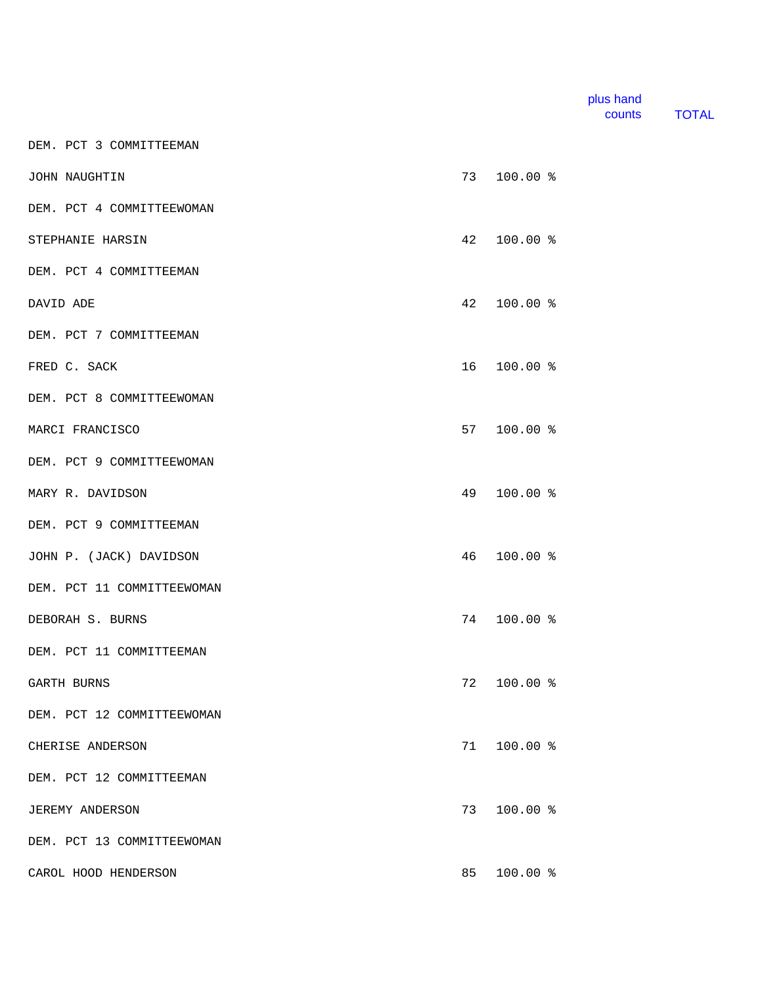| plus hand |              |
|-----------|--------------|
| counts    | <b>TOTAL</b> |

DEM. PCT 3 COMMITTEEMAN

| JOHN NAUGHTIN              | 73 | $100.00$ %  |  |
|----------------------------|----|-------------|--|
| DEM. PCT 4 COMMITTEEWOMAN  |    |             |  |
| STEPHANIE HARSIN           | 42 | $100.00$ %  |  |
| DEM. PCT 4 COMMITTEEMAN    |    |             |  |
| DAVID ADE                  | 42 | 100.00 %    |  |
| DEM. PCT 7 COMMITTEEMAN    |    |             |  |
| FRED C. SACK               |    | 16 100.00 % |  |
| DEM. PCT 8 COMMITTEEWOMAN  |    |             |  |
| MARCI FRANCISCO            | 57 | $100.00$ %  |  |
| DEM. PCT 9 COMMITTEEWOMAN  |    |             |  |
| MARY R. DAVIDSON           | 49 | 100.00 %    |  |
| DEM. PCT 9 COMMITTEEMAN    |    |             |  |
| JOHN P. (JACK) DAVIDSON    | 46 | $100.00$ %  |  |
| DEM. PCT 11 COMMITTEEWOMAN |    |             |  |
| DEBORAH S. BURNS           | 74 | 100.00 %    |  |
| DEM. PCT 11 COMMITTEEMAN   |    |             |  |
| GARTH BURNS                | 72 | $100.00$ %  |  |
| DEM. PCT 12 COMMITTEEWOMAN |    |             |  |
| CHERISE ANDERSON           | 71 | $100.00$ %  |  |
| DEM. PCT 12 COMMITTEEMAN   |    |             |  |
| <b>JEREMY ANDERSON</b>     | 73 | $100.00$ %  |  |
| DEM. PCT 13 COMMITTEEWOMAN |    |             |  |
| CAROL HOOD HENDERSON       | 85 | 100.00 %    |  |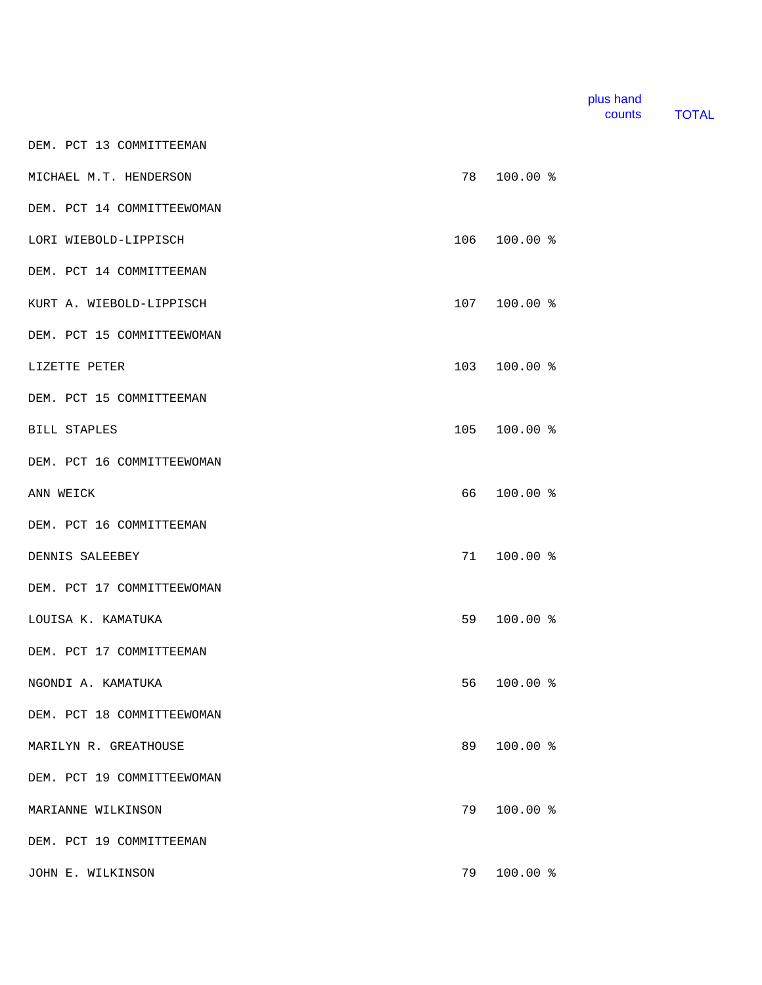| plus hand |       |
|-----------|-------|
| counts    | TOTAL |

DEM. PCT 13 COMMITTEEMAN

| MICHAEL M.T. HENDERSON     | 78  | $100.00$ % |  |
|----------------------------|-----|------------|--|
| DEM. PCT 14 COMMITTEEWOMAN |     |            |  |
| LORI WIEBOLD-LIPPISCH      | 106 | $100.00$ % |  |
| DEM. PCT 14 COMMITTEEMAN   |     |            |  |
| KURT A. WIEBOLD-LIPPISCH   | 107 | 100.00 %   |  |
| DEM. PCT 15 COMMITTEEWOMAN |     |            |  |
| LIZETTE PETER              | 103 | $100.00$ % |  |
| DEM. PCT 15 COMMITTEEMAN   |     |            |  |
| <b>BILL STAPLES</b>        | 105 | 100.00 %   |  |
| DEM. PCT 16 COMMITTEEWOMAN |     |            |  |
| ANN WEICK                  | 66  | $100.00$ % |  |
| DEM. PCT 16 COMMITTEEMAN   |     |            |  |
| DENNIS SALEEBEY            | 71  | $100.00$ % |  |
| DEM. PCT 17 COMMITTEEWOMAN |     |            |  |
| LOUISA K. KAMATUKA         | 59  | $100.00$ % |  |
| DEM. PCT 17 COMMITTEEMAN   |     |            |  |
| NGONDI A. KAMATUKA         | 56  | $100.00$ % |  |
| DEM. PCT 18 COMMITTEEWOMAN |     |            |  |
| MARILYN R. GREATHOUSE      | 89  | $100.00$ % |  |
| DEM. PCT 19 COMMITTEEWOMAN |     |            |  |
| MARIANNE WILKINSON         | 79  | $100.00$ % |  |
| DEM. PCT 19 COMMITTEEMAN   |     |            |  |
| JOHN E. WILKINSON          | 79  | $100.00$ % |  |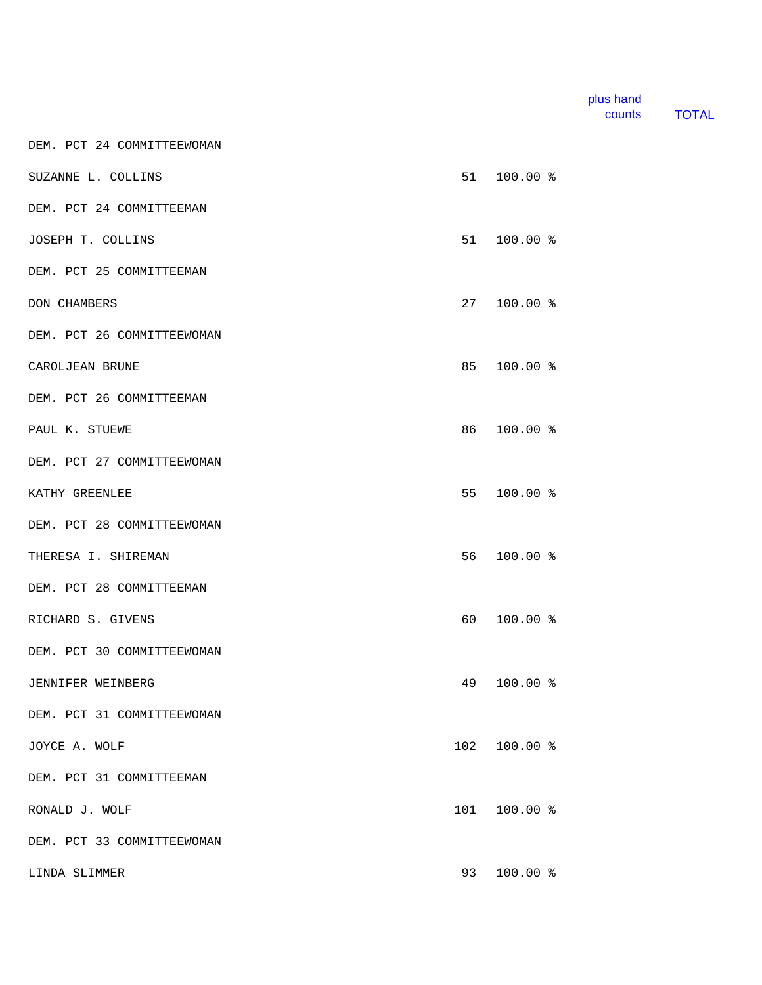| plus hand |              |
|-----------|--------------|
| counts    | <b>TOTAL</b> |

SUZANNE L. COLLINS 51 100.00 % DEM. PCT 24 COMMITTEEMAN JOSEPH T. COLLINS 51 100.00 % DEM. PCT 25 COMMITTEEMAN DON CHAMBERS 27 100.00 % DEM. PCT 26 COMMITTEEWOMAN CAROLJEAN BRUNE 85 100.00 % DEM. PCT 26 COMMITTEEMAN PAUL K. STUEWE 86 100.00 % DEM. PCT 27 COMMITTEEWOMAN KATHY GREENLEE 61 100.00 % ATHY GREENLEE DEM. PCT 28 COMMITTEEWOMAN THERESA I. SHIREMAN 66 100.00 % DEM. PCT 28 COMMITTEEMAN RICHARD S. GIVENS 60 100.00 % DEM. PCT 30 COMMITTEEWOMAN JENNIFER WEINBERG 49 100.00 % DEM. PCT 31 COMMITTEEWOMAN JOYCE A. WOLF 102 100.00 % DEM. PCT 31 COMMITTEEMAN RONALD J. WOLF 100.00 % DEM. PCT 33 COMMITTEEWOMAN

DEM. PCT 24 COMMITTEEWOMAN

LINDA SLIMMER 93 100.00 %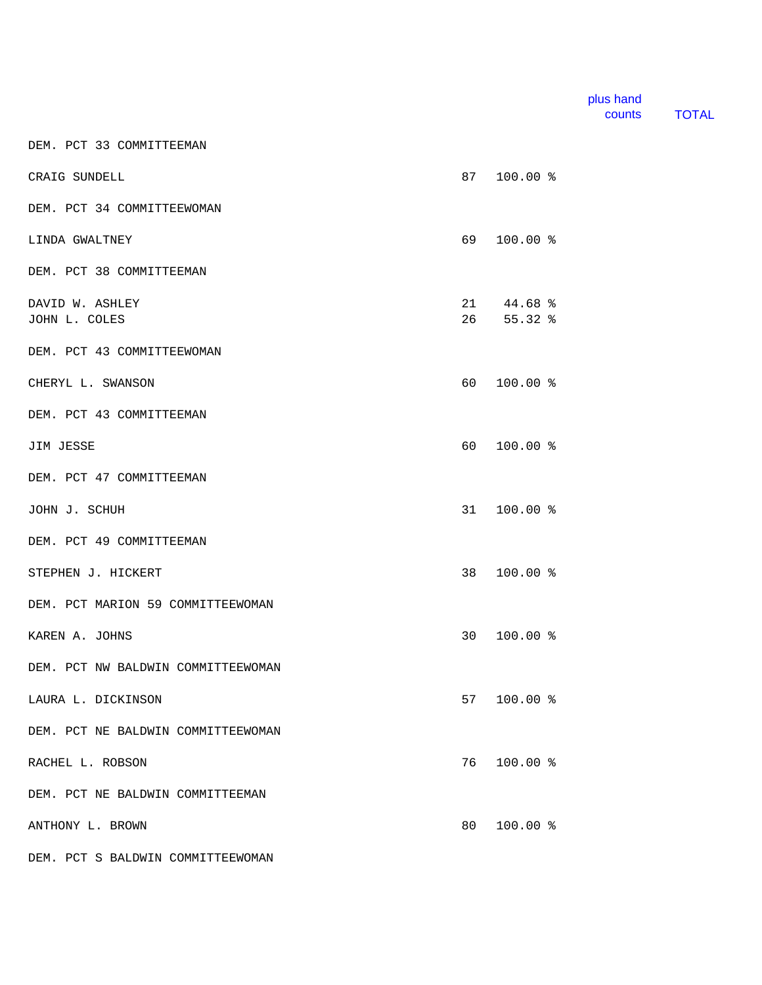| plus hand |              |
|-----------|--------------|
| counts    | <b>TOTAL</b> |

DEM. PCT 33 COMMITTEEMAN

| CRAIG SUNDELL                      | 87 —            | $100.00$ %                      |  |
|------------------------------------|-----------------|---------------------------------|--|
| DEM. PCT 34 COMMITTEEWOMAN         |                 |                                 |  |
| LINDA GWALTNEY                     | 69              | $100.00$ %                      |  |
| DEM. PCT 38 COMMITTEEMAN           |                 |                                 |  |
| DAVID W. ASHLEY<br>JOHN L. COLES   |                 | $21 \t 44.68$ %<br>$26$ 55.32 % |  |
| DEM. PCT 43 COMMITTEEWOMAN         |                 |                                 |  |
| CHERYL L. SWANSON                  | 60 —            | $100.00$ %                      |  |
| DEM. PCT 43 COMMITTEEMAN           |                 |                                 |  |
| JIM JESSE                          | 60 —            | $100.00$ %                      |  |
| DEM. PCT 47 COMMITTEEMAN           |                 |                                 |  |
| JOHN J. SCHUH                      | 31              | $100.00$ %                      |  |
| DEM. PCT 49 COMMITTEEMAN           |                 |                                 |  |
| STEPHEN J. HICKERT                 | 38              | $100.00$ %                      |  |
| DEM. PCT MARION 59 COMMITTEEWOMAN  |                 |                                 |  |
| KAREN A. JOHNS                     | 30 <sup>7</sup> | $100.00$ %                      |  |
| DEM. PCT NW BALDWIN COMMITTEEWOMAN |                 |                                 |  |
| LAURA L. DICKINSON                 | 57              | $100.00$ %                      |  |
| DEM. PCT NE BALDWIN COMMITTEEWOMAN |                 |                                 |  |
| RACHEL L. ROBSON                   | 76              | 100.00 %                        |  |
| DEM. PCT NE BALDWIN COMMITTEEMAN   |                 |                                 |  |
| ANTHONY L. BROWN                   | 80              | $100.00$ %                      |  |
| DEM. PCT S BALDWIN COMMITTEEWOMAN  |                 |                                 |  |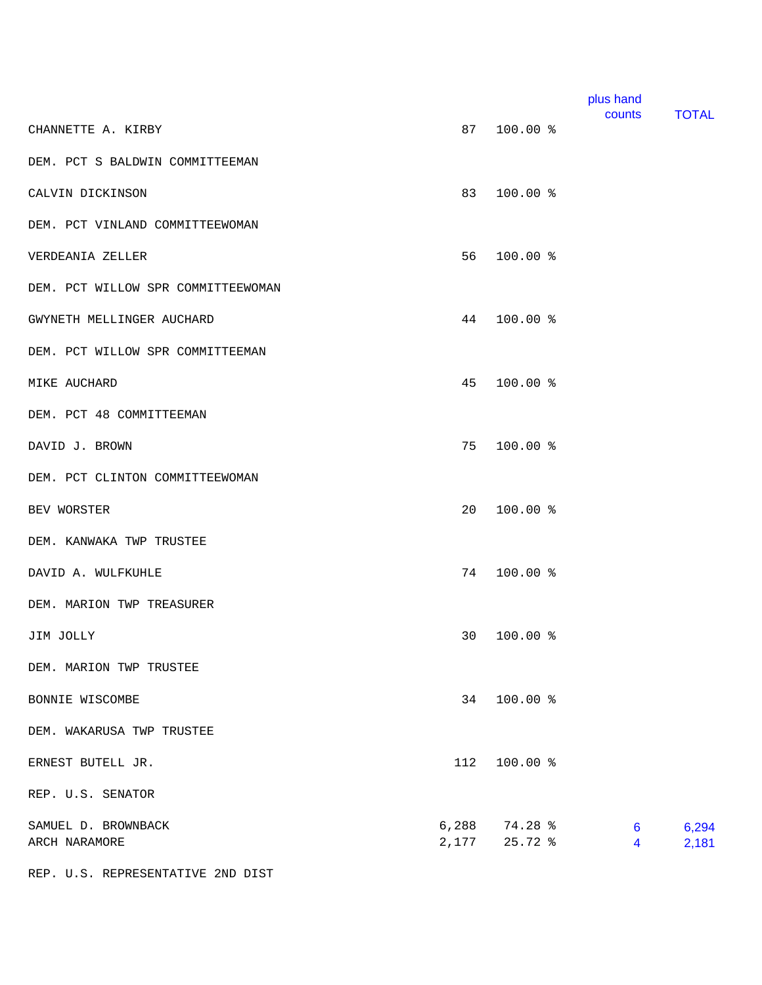|                                               |                                | plus hand<br>counts | <b>TOTAL</b>                           |
|-----------------------------------------------|--------------------------------|---------------------|----------------------------------------|
| 87<br>CHANNETTE A. KIRBY                      | 100.00 %                       |                     |                                        |
| DEM. PCT S BALDWIN COMMITTEEMAN               |                                |                     |                                        |
| 83<br>CALVIN DICKINSON                        | 100.00 %                       |                     |                                        |
| DEM. PCT VINLAND COMMITTEEWOMAN               |                                |                     |                                        |
| 56<br>VERDEANIA ZELLER                        | 100.00 %                       |                     |                                        |
| DEM. PCT WILLOW SPR COMMITTEEWOMAN            |                                |                     |                                        |
| 44<br>GWYNETH MELLINGER AUCHARD               | 100.00 %                       |                     |                                        |
| DEM. PCT WILLOW SPR COMMITTEEMAN              |                                |                     |                                        |
| 45<br>MIKE AUCHARD                            | 100.00 %                       |                     |                                        |
| DEM. PCT 48 COMMITTEEMAN                      |                                |                     |                                        |
| 75<br>DAVID J. BROWN                          | 100.00 %                       |                     |                                        |
| DEM. PCT CLINTON COMMITTEEWOMAN               |                                |                     |                                        |
| 20<br>BEV WORSTER                             | 100.00 %                       |                     |                                        |
| DEM. KANWAKA TWP TRUSTEE                      |                                |                     |                                        |
| 74<br>DAVID A. WULFKUHLE                      | 100.00 %                       |                     |                                        |
| DEM. MARION TWP TREASURER                     |                                |                     |                                        |
| 30<br>JIM JOLLY                               | 100.00 %                       |                     |                                        |
| DEM. MARION TWP TRUSTEE                       |                                |                     |                                        |
| BONNIE WISCOMBE                               | 34 100.00 %                    |                     |                                        |
| DEM. WAKARUSA TWP TRUSTEE                     |                                |                     |                                        |
| 112<br>ERNEST BUTELL JR.                      | 100.00 %                       |                     |                                        |
| REP. U.S. SENATOR                             |                                |                     |                                        |
| SAMUEL D. BROWNBACK<br>2,177<br>ARCH NARAMORE | $6,288$ $74.28$ %<br>$25.72$ % |                     | 6,294<br>$6\phantom{1}6$<br>2,181<br>4 |

REP. U.S. REPRESENTATIVE 2ND DIST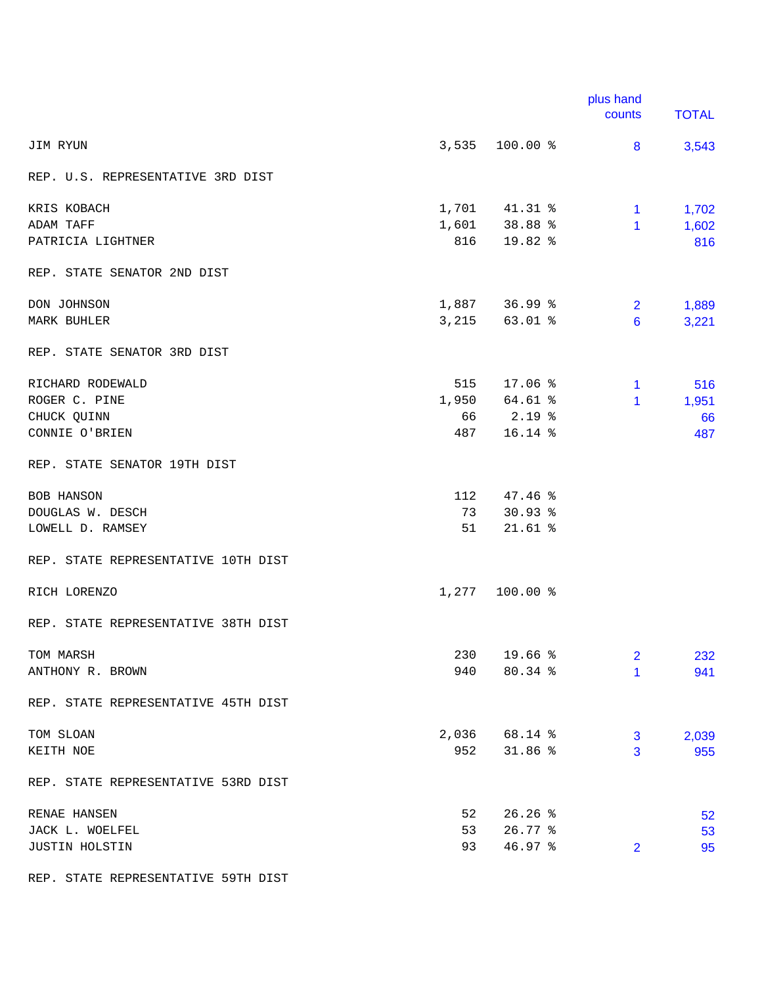|                                     |       |                  | plus hand<br>counts | <b>TOTAL</b> |
|-------------------------------------|-------|------------------|---------------------|--------------|
| JIM RYUN                            |       | $3,535$ 100.00 % | 8                   | 3,543        |
| REP. U.S. REPRESENTATIVE 3RD DIST   |       |                  |                     |              |
| KRIS KOBACH                         |       | 1,701 41.31 %    | 1.                  | 1,702        |
| ADAM TAFF                           | 1,601 | 38.88 %          | 1                   | 1,602        |
| PATRICIA LIGHTNER                   | 816   | 19.82 %          |                     | 816          |
| REP. STATE SENATOR 2ND DIST         |       |                  |                     |              |
| DON JOHNSON                         |       | 1,887 36.99 %    | $\overline{2}$      | 1,889        |
| MARK BUHLER                         |       | 3,215 63.01 %    | 6                   | 3,221        |
| REP. STATE SENATOR 3RD DIST         |       |                  |                     |              |
| RICHARD RODEWALD                    | 515   | 17.06 %          | 1.                  | 516          |
| ROGER C. PINE                       |       | 1,950 64.61 %    | 1                   | 1,951        |
| CHUCK QUINN                         | 66    | $2.19$ %         |                     | 66           |
| CONNIE O'BRIEN                      | 487   | 16.14 %          |                     | 487          |
| REP. STATE SENATOR 19TH DIST        |       |                  |                     |              |
| <b>BOB HANSON</b>                   | 112   | 47.46%           |                     |              |
| DOUGLAS W. DESCH                    | 73    | $30.93$ %        |                     |              |
| LOWELL D. RAMSEY                    | 51    | $21.61$ %        |                     |              |
| REP. STATE REPRESENTATIVE 10TH DIST |       |                  |                     |              |
| RICH LORENZO                        |       | 1,277 100.00 %   |                     |              |
| REP. STATE REPRESENTATIVE 38TH DIST |       |                  |                     |              |
| TOM MARSH                           | 230   | 19.66 %          | 2                   | 232          |
| ANTHONY R. BROWN                    | 940   | 80.34 %          | 1                   | 941          |
| REP. STATE REPRESENTATIVE 45TH DIST |       |                  |                     |              |
| TOM SLOAN                           | 2,036 | 68.14 %          | 3                   | 2,039        |
| KEITH NOE                           | 952   | 31.86%           | 3                   | 955          |
| REP. STATE REPRESENTATIVE 53RD DIST |       |                  |                     |              |
| RENAE HANSEN                        | 52    | 26.26%           |                     | 52           |
| JACK L. WOELFEL                     | 53    | $26.77$ %        |                     | 53           |
| JUSTIN HOLSTIN                      | 93    | $46.97$ %        | $\overline{2}$      | 95           |

REP. STATE REPRESENTATIVE 59TH DIST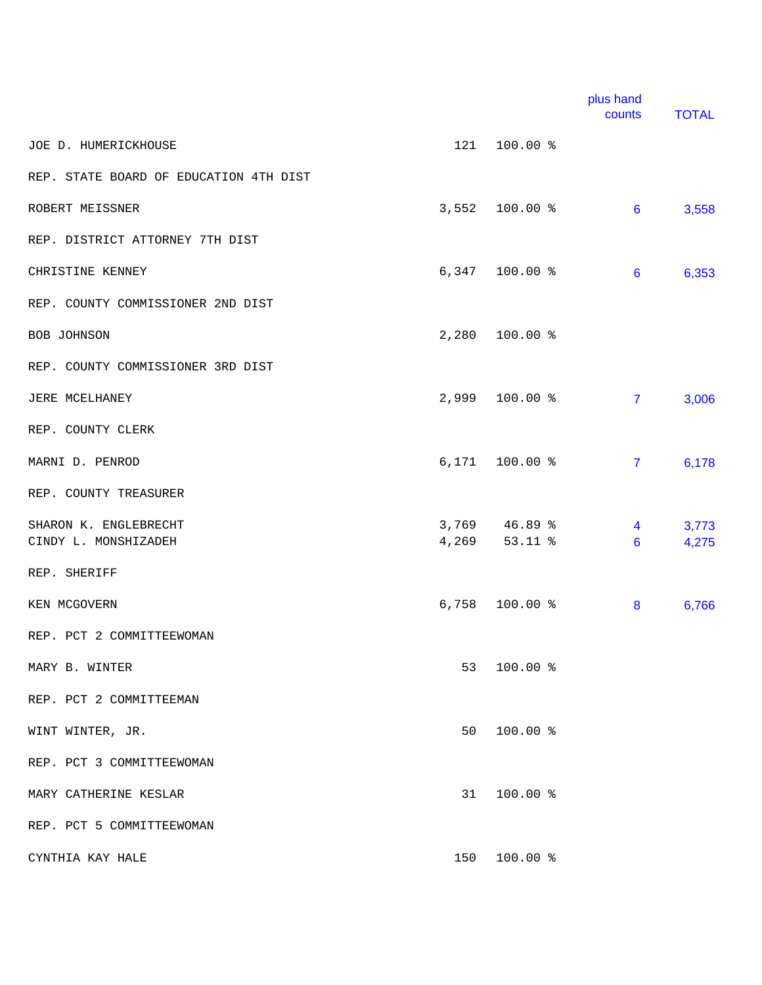|                                        |       |                  | plus hand<br>counts | <b>TOTAL</b> |
|----------------------------------------|-------|------------------|---------------------|--------------|
| JOE D. HUMERICKHOUSE                   | 121   | 100.00 %         |                     |              |
| REP. STATE BOARD OF EDUCATION 4TH DIST |       |                  |                     |              |
| ROBERT MEISSNER                        | 3,552 | 100.00 %         | 6                   | 3,558        |
| REP. DISTRICT ATTORNEY 7TH DIST        |       |                  |                     |              |
| CHRISTINE KENNEY                       |       | $6,347$ 100.00 % | 6                   | 6,353        |
| REP. COUNTY COMMISSIONER 2ND DIST      |       |                  |                     |              |
| BOB JOHNSON                            |       | 2,280 100.00 %   |                     |              |
| REP. COUNTY COMMISSIONER 3RD DIST      |       |                  |                     |              |
| JERE MCELHANEY                         |       | 2,999 100.00 %   | $\overline{7}$      | 3,006        |
| REP. COUNTY CLERK                      |       |                  |                     |              |
| MARNI D. PENROD                        | 6,171 | 100.00 %         | $\overline{7}$      | 6,178        |
| REP. COUNTY TREASURER                  |       |                  |                     |              |
| SHARON K. ENGLEBRECHT                  |       | 3,769 46.89 %    | 4                   | 3,773        |
| CINDY L. MONSHIZADEH                   | 4,269 | $53.11$ %        | 6                   | 4,275        |
| REP. SHERIFF                           |       |                  |                     |              |
| KEN MCGOVERN                           |       | 6,758 100.00 %   | 8                   | 6,766        |
| REP. PCT 2 COMMITTEEWOMAN              |       |                  |                     |              |
| MARY B. WINTER                         | 53    | 100.00 %         |                     |              |
| REP. PCT 2 COMMITTEEMAN                |       |                  |                     |              |
| WINT WINTER, JR.                       | 50    | 100.00 %         |                     |              |
| REP. PCT 3 COMMITTEEWOMAN              |       |                  |                     |              |
| MARY CATHERINE KESLAR                  | 31    | 100.00 %         |                     |              |
| REP. PCT 5 COMMITTEEWOMAN              |       |                  |                     |              |
| CYNTHIA KAY HALE                       | 150   | 100.00 %         |                     |              |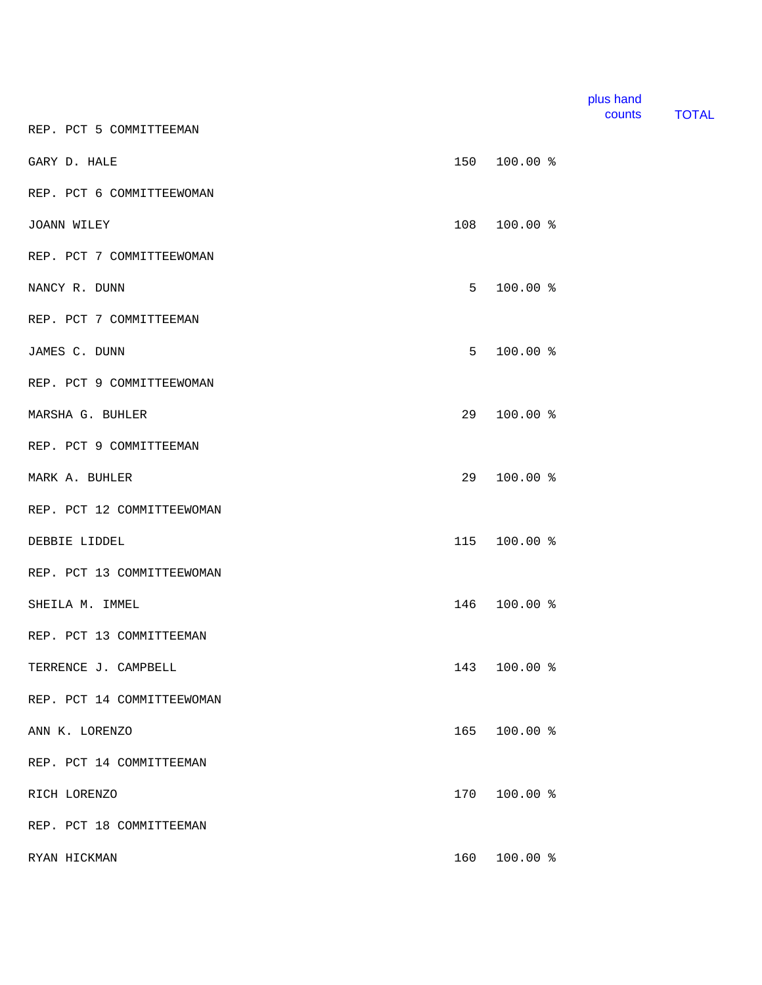|                            |     |              | plus hand<br>counts | <b>TOTAL</b> |
|----------------------------|-----|--------------|---------------------|--------------|
| REP. PCT 5 COMMITTEEMAN    |     |              |                     |              |
| GARY D. HALE               | 150 | 100.00 %     |                     |              |
| REP. PCT 6 COMMITTEEWOMAN  |     |              |                     |              |
| JOANN WILEY                | 108 | 100.00 %     |                     |              |
| REP. PCT 7 COMMITTEEWOMAN  |     |              |                     |              |
| NANCY R. DUNN              | 5   | 100.00 %     |                     |              |
| REP. PCT 7 COMMITTEEMAN    |     |              |                     |              |
| JAMES C. DUNN              | 5   | 100.00 %     |                     |              |
| REP. PCT 9 COMMITTEEWOMAN  |     |              |                     |              |
| MARSHA G. BUHLER           | 29  | 100.00 %     |                     |              |
| REP. PCT 9 COMMITTEEMAN    |     |              |                     |              |
| MARK A. BUHLER             | 29  | 100.00 %     |                     |              |
| REP. PCT 12 COMMITTEEWOMAN |     |              |                     |              |
| DEBBIE LIDDEL              | 115 | 100.00 %     |                     |              |
| REP. PCT 13 COMMITTEEWOMAN |     |              |                     |              |
| SHEILA M. IMMEL            | 146 | 100.00 %     |                     |              |
| REP. PCT 13 COMMITTEEMAN   |     |              |                     |              |
| TERRENCE J. CAMPBELL       |     | 143 100.00 % |                     |              |
| REP. PCT 14 COMMITTEEWOMAN |     |              |                     |              |
| ANN K. LORENZO             | 165 | $100.00$ %   |                     |              |
| REP. PCT 14 COMMITTEEMAN   |     |              |                     |              |
| RICH LORENZO               | 170 | 100.00 %     |                     |              |
| REP. PCT 18 COMMITTEEMAN   |     |              |                     |              |
| RYAN HICKMAN               | 160 | 100.00 %     |                     |              |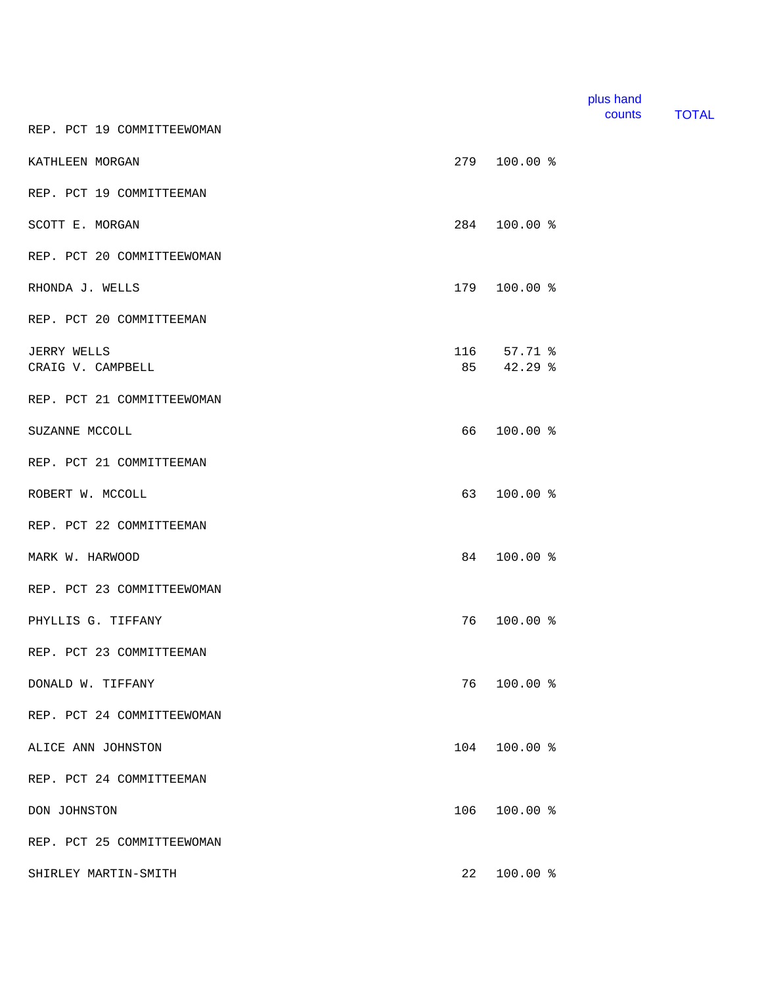|                            |     |            | plus hand<br>counts | <b>TOTAL</b> |
|----------------------------|-----|------------|---------------------|--------------|
| REP. PCT 19 COMMITTEEWOMAN |     |            |                     |              |
| KATHLEEN MORGAN            | 279 | 100.00 %   |                     |              |
| REP. PCT 19 COMMITTEEMAN   |     |            |                     |              |
| SCOTT E. MORGAN            | 284 | 100.00 %   |                     |              |
| REP. PCT 20 COMMITTEEWOMAN |     |            |                     |              |
| RHONDA J. WELLS            | 179 | $100.00$ % |                     |              |
| REP. PCT 20 COMMITTEEMAN   |     |            |                     |              |
| JERRY WELLS                | 116 | $57.71$ %  |                     |              |
| CRAIG V. CAMPBELL          | 85  | 42.29 %    |                     |              |
| REP. PCT 21 COMMITTEEWOMAN |     |            |                     |              |
| SUZANNE MCCOLL             | 66  | 100.00 %   |                     |              |
| REP. PCT 21 COMMITTEEMAN   |     |            |                     |              |
| ROBERT W. MCCOLL           | 63  | 100.00 %   |                     |              |
| REP. PCT 22 COMMITTEEMAN   |     |            |                     |              |
| MARK W. HARWOOD            | 84  | 100.00 %   |                     |              |
| REP. PCT 23 COMMITTEEWOMAN |     |            |                     |              |
| PHYLLIS G. TIFFANY         | 76  | 100.00 %   |                     |              |
| REP. PCT 23 COMMITTEEMAN   |     |            |                     |              |
| DONALD W. TIFFANY          | 76  | 100.00 %   |                     |              |
| REP. PCT 24 COMMITTEEWOMAN |     |            |                     |              |
| ALICE ANN JOHNSTON         | 104 | $100.00$ % |                     |              |
| REP. PCT 24 COMMITTEEMAN   |     |            |                     |              |
| DON JOHNSTON               | 106 | 100.00 %   |                     |              |
| REP. PCT 25 COMMITTEEWOMAN |     |            |                     |              |
| SHIRLEY MARTIN-SMITH       | 22  | 100.00 %   |                     |              |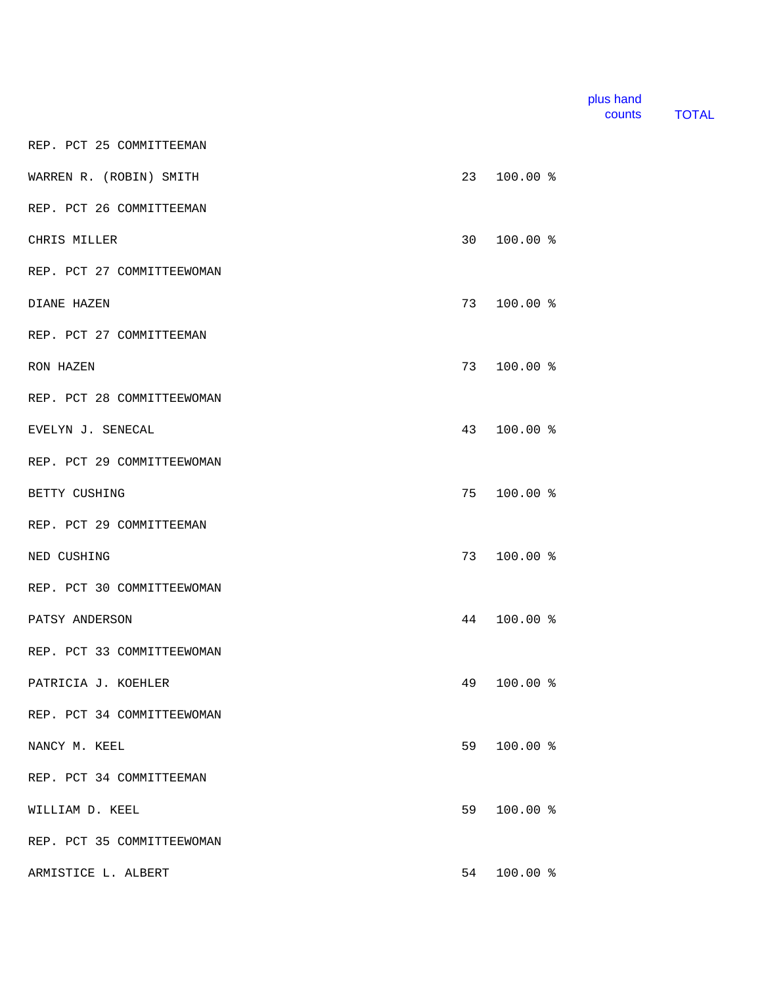| plus hand |              |
|-----------|--------------|
| counts    | <b>TOTAL</b> |

REP. PCT 25 COMMITTEEMAN

| WARREN R. (ROBIN) SMITH    | 23 | $100.00$ % |  |
|----------------------------|----|------------|--|
| REP. PCT 26 COMMITTEEMAN   |    |            |  |
| CHRIS MILLER               | 30 | $100.00$ % |  |
| REP. PCT 27 COMMITTEEWOMAN |    |            |  |
| DIANE HAZEN                | 73 | $100.00$ % |  |
| REP. PCT 27 COMMITTEEMAN   |    |            |  |
| RON HAZEN                  | 73 | $100.00$ % |  |
| REP. PCT 28 COMMITTEEWOMAN |    |            |  |
| EVELYN J. SENECAL          | 43 | $100.00$ % |  |
| REP. PCT 29 COMMITTEEWOMAN |    |            |  |
| BETTY CUSHING              | 75 | 100.00 %   |  |
| REP. PCT 29 COMMITTEEMAN   |    |            |  |
| NED CUSHING                | 73 | $100.00$ % |  |
| REP. PCT 30 COMMITTEEWOMAN |    |            |  |
| PATSY ANDERSON             | 44 | 100.00 %   |  |
| REP. PCT 33 COMMITTEEWOMAN |    |            |  |
| PATRICIA J. KOEHLER        | 49 | $100.00$ % |  |
| REP. PCT 34 COMMITTEEWOMAN |    |            |  |
| NANCY M. KEEL              | 59 | 100.00 %   |  |
| REP. PCT 34 COMMITTEEMAN   |    |            |  |
| WILLIAM D. KEEL            | 59 | 100.00 %   |  |
| REP. PCT 35 COMMITTEEWOMAN |    |            |  |
| ARMISTICE L. ALBERT        | 54 | $100.00$ % |  |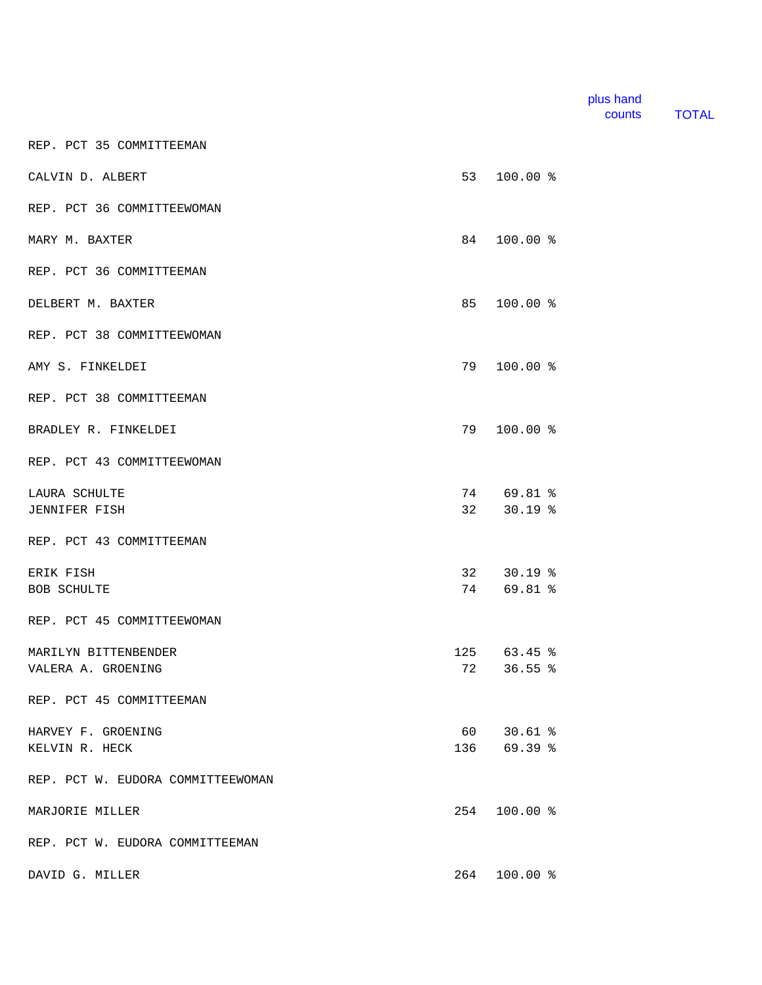| plus hand |       |
|-----------|-------|
| counts    | TOTAL |

REP. PCT 35 COMMITTEEMAN

| CALVIN D. ALBERT                  | 53  | 100.00 %      |  |
|-----------------------------------|-----|---------------|--|
| REP. PCT 36 COMMITTEEWOMAN        |     |               |  |
| MARY M. BAXTER                    | 84  | $100.00$ %    |  |
| REP. PCT 36 COMMITTEEMAN          |     |               |  |
| DELBERT M. BAXTER                 | 85  | $100.00$ %    |  |
| REP. PCT 38 COMMITTEEWOMAN        |     |               |  |
| AMY S. FINKELDEI                  | 79  | $100.00$ %    |  |
| REP. PCT 38 COMMITTEEMAN          |     |               |  |
| BRADLEY R. FINKELDEI              | 79  | $100.00$ %    |  |
| REP. PCT 43 COMMITTEEWOMAN        |     |               |  |
| LAURA SCHULTE                     |     | 74 69.81 %    |  |
| <b>JENNIFER FISH</b>              |     | 32 30.19 %    |  |
| REP. PCT 43 COMMITTEEMAN          |     |               |  |
| ERIK FISH                         |     | 32 30.19 %    |  |
| <b>BOB SCHULTE</b>                |     | 74 69.81 %    |  |
| REP. PCT 45 COMMITTEEWOMAN        |     |               |  |
| MARILYN BITTENBENDER              |     | $125$ 63.45 % |  |
| VALERA A. GROENING                |     | 72 36.55 %    |  |
| REP. PCT 45 COMMITTEEMAN          |     |               |  |
| HARVEY F. GROENING                | 60  | $30.61$ %     |  |
| KELVIN R. HECK                    |     | 136 69.39 %   |  |
| REP. PCT W. EUDORA COMMITTEEWOMAN |     |               |  |
| MARJORIE MILLER                   | 254 | 100.00 %      |  |
| REP. PCT W. EUDORA COMMITTEEMAN   |     |               |  |
| DAVID G. MILLER                   | 264 | $100.00$ %    |  |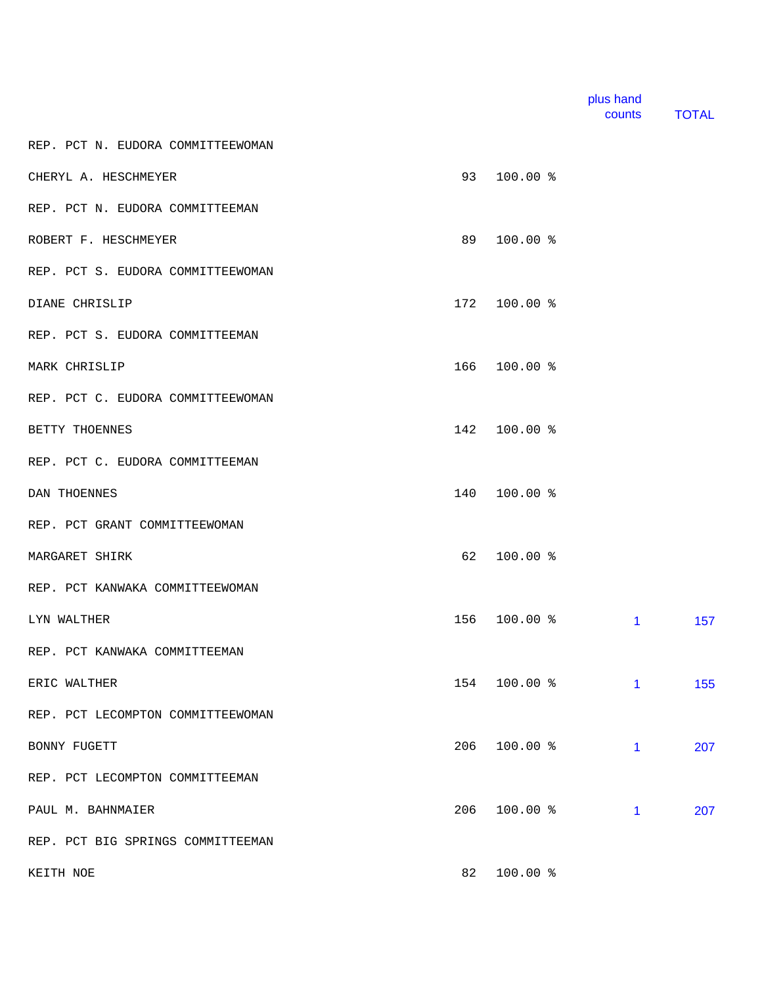|                                   |     |              | plus hand<br>counts | <b>TOTAL</b> |
|-----------------------------------|-----|--------------|---------------------|--------------|
| REP. PCT N. EUDORA COMMITTEEWOMAN |     |              |                     |              |
| CHERYL A. HESCHMEYER              | 93  | 100.00 %     |                     |              |
| REP. PCT N. EUDORA COMMITTEEMAN   |     |              |                     |              |
| ROBERT F. HESCHMEYER              | 89  | 100.00 %     |                     |              |
| REP. PCT S. EUDORA COMMITTEEWOMAN |     |              |                     |              |
| DIANE CHRISLIP                    | 172 | $100.00$ %   |                     |              |
| REP. PCT S. EUDORA COMMITTEEMAN   |     |              |                     |              |
| MARK CHRISLIP                     | 166 | 100.00 %     |                     |              |
| REP. PCT C. EUDORA COMMITTEEWOMAN |     |              |                     |              |
| BETTY THOENNES                    | 142 | 100.00 %     |                     |              |
| REP. PCT C. EUDORA COMMITTEEMAN   |     |              |                     |              |
| DAN THOENNES                      | 140 | 100.00 %     |                     |              |
| REP. PCT GRANT COMMITTEEWOMAN     |     |              |                     |              |
| MARGARET SHIRK                    | 62  | $100.00$ %   |                     |              |
| REP. PCT KANWAKA COMMITTEEWOMAN   |     |              |                     |              |
| LYN WALTHER                       | 156 | 100.00 %     | $\mathbf{1}$        | 157          |
| REP. PCT KANWAKA COMMITTEEMAN     |     |              |                     |              |
| ERIC WALTHER                      |     | 154 100.00 % | 1                   | 155          |
| REP. PCT LECOMPTON COMMITTEEWOMAN |     |              |                     |              |
| BONNY FUGETT                      | 206 | 100.00 %     | $\mathbf{1}$        | 207          |
| REP. PCT LECOMPTON COMMITTEEMAN   |     |              |                     |              |
| PAUL M. BAHNMAIER                 | 206 | 100.00 %     | 1                   | 207          |
| REP. PCT BIG SPRINGS COMMITTEEMAN |     |              |                     |              |
| KEITH NOE                         | 82  | 100.00 %     |                     |              |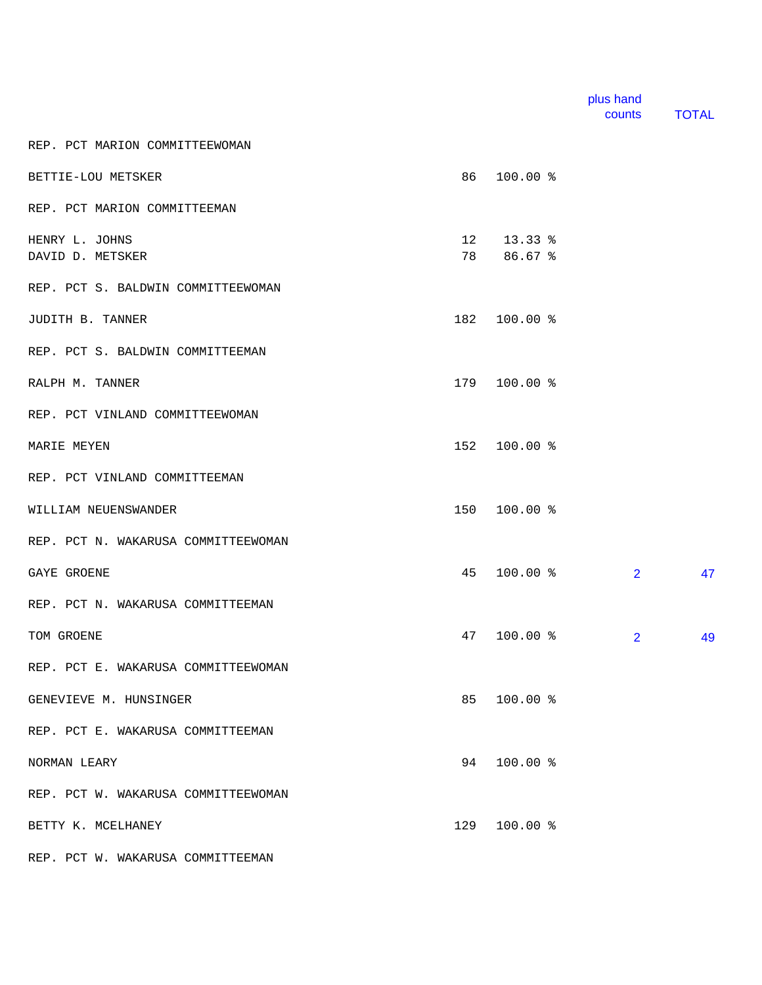|                                     |     |                          | counts | <b>TOTAL</b> |
|-------------------------------------|-----|--------------------------|--------|--------------|
| REP. PCT MARION COMMITTEEWOMAN      |     |                          |        |              |
| BETTIE-LOU METSKER                  | 86  | $100.00$ %               |        |              |
| REP. PCT MARION COMMITTEEMAN        |     |                          |        |              |
| HENRY L. JOHNS<br>DAVID D. METSKER  |     | 12 13.33 %<br>78 86.67 % |        |              |
| REP. PCT S. BALDWIN COMMITTEEWOMAN  |     |                          |        |              |
| JUDITH B. TANNER                    |     | 182 100.00 %             |        |              |
| REP. PCT S. BALDWIN COMMITTEEMAN    |     |                          |        |              |
| RALPH M. TANNER                     | 179 | 100.00%                  |        |              |
| REP. PCT VINLAND COMMITTEEWOMAN     |     |                          |        |              |
| MARIE MEYEN                         |     | 152 100.00 %             |        |              |
| REP. PCT VINLAND COMMITTEEMAN       |     |                          |        |              |
| WILLIAM NEUENSWANDER                |     | 150 100.00 %             |        |              |
| REP. PCT N. WAKARUSA COMMITTEEWOMAN |     |                          |        |              |

plus hand

GAYE GROENE 2 47

REP. PCT N. WAKARUSA COMMITTEEMAN TOM GROENE 2 49

REP. PCT E. WAKARUSA COMMITTEEWOMAN

GENEVIEVE M. HUNSINGER **85 100.00 %** 

REP. PCT E. WAKARUSA COMMITTEEMAN

NORMAN LEARY 94 100.00 %

REP. PCT W. WAKARUSA COMMITTEEWOMAN

BETTY K. MCELHANEY 129 100.00 %

REP. PCT W. WAKARUSA COMMITTEEMAN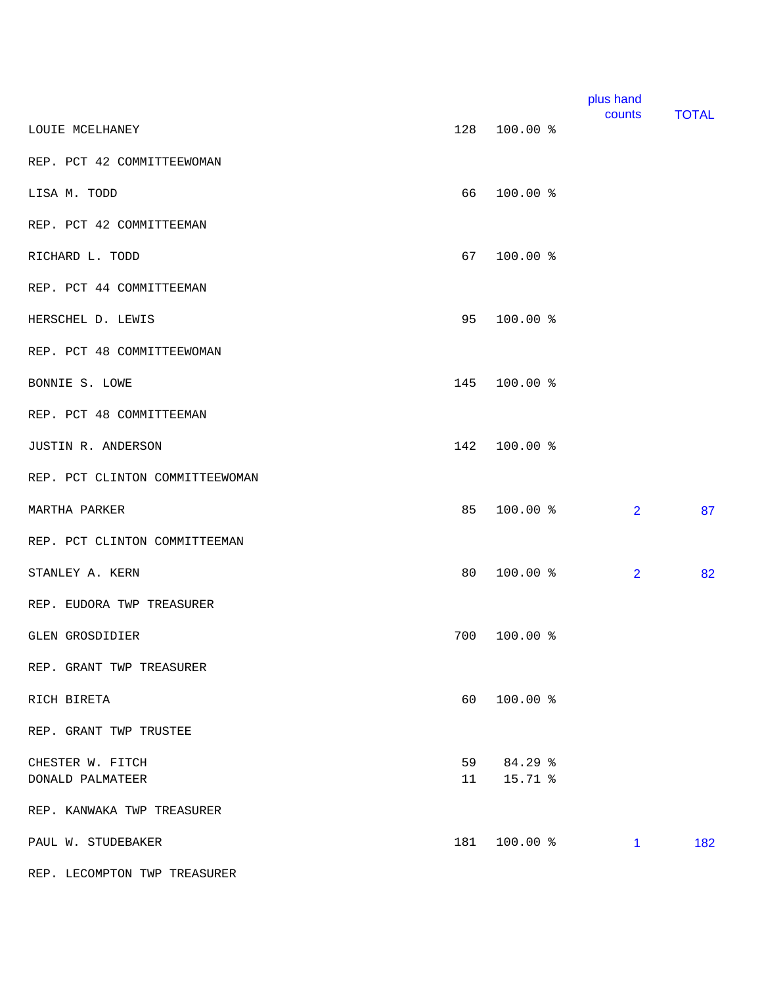|                                 |     |              | plus hand<br>counts | <b>TOTAL</b> |
|---------------------------------|-----|--------------|---------------------|--------------|
| LOUIE MCELHANEY                 |     | 128 100.00 % |                     |              |
| REP. PCT 42 COMMITTEEWOMAN      |     |              |                     |              |
| LISA M. TODD                    | 66  | 100.00 %     |                     |              |
| REP. PCT 42 COMMITTEEMAN        |     |              |                     |              |
| RICHARD L. TODD                 | 67  | 100.00 %     |                     |              |
| REP. PCT 44 COMMITTEEMAN        |     |              |                     |              |
| HERSCHEL D. LEWIS               | 95  | 100.00 %     |                     |              |
| REP. PCT 48 COMMITTEEWOMAN      |     |              |                     |              |
| BONNIE S. LOWE                  | 145 | 100.00 %     |                     |              |
| REP. PCT 48 COMMITTEEMAN        |     |              |                     |              |
| JUSTIN R. ANDERSON              | 142 | 100.00 %     |                     |              |
| REP. PCT CLINTON COMMITTEEWOMAN |     |              |                     |              |
| MARTHA PARKER                   | 85  | 100.00 %     | $\overline{2}$      | 87           |
| REP. PCT CLINTON COMMITTEEMAN   |     |              |                     |              |
| STANLEY A. KERN                 | 80  | 100.00 %     | $\overline{2}$      | 82           |
| REP. EUDORA TWP TREASURER       |     |              |                     |              |
| GLEN GROSDIDIER                 | 700 | 100.00 %     |                     |              |
| REP. GRANT TWP TREASURER        |     |              |                     |              |
| RICH BIRETA                     | 60  | 100.00 %     |                     |              |
| REP. GRANT TWP TRUSTEE          |     |              |                     |              |
| CHESTER W. FITCH                |     | 59 84.29 %   |                     |              |
| DONALD PALMATEER                | 11  | 15.71 %      |                     |              |
| REP. KANWAKA TWP TREASURER      |     |              |                     |              |
| PAUL W. STUDEBAKER              | 181 | 100.00 %     | $\mathbf{1}$        | 182          |
| REP. LECOMPTON TWP TREASURER    |     |              |                     |              |